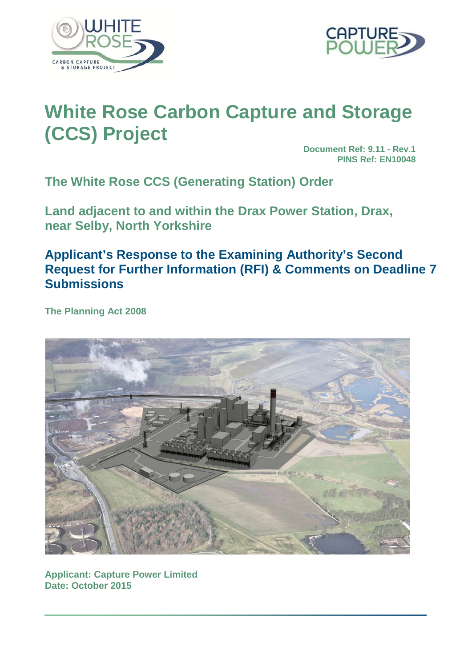



# **White Rose Carbon Capture and Storage (CCS) Project**

**Document Ref: 9.11 - Rev.1 PINS Ref: EN10048**

**The White Rose CCS (Generating Station) Order**

**Land adjacent to and within the Drax Power Station, Drax, near Selby, North Yorkshire**

## **Applicant's Response to the Examining Authority's Second Request for Further Information (RFI) & Comments on Deadline 7 Submissions**

**The Planning Act 2008**



**Applicant: Capture Power Limited Date: October 2015**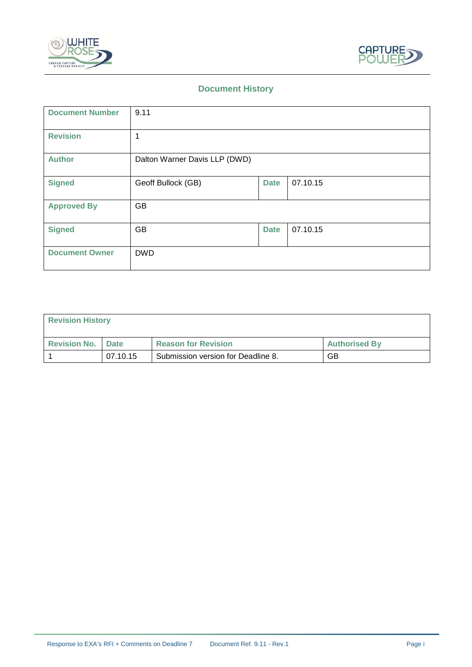



## **Document History**

| <b>Document Number</b> | 9.11                          |             |          |
|------------------------|-------------------------------|-------------|----------|
| <b>Revision</b>        | 1                             |             |          |
| <b>Author</b>          | Dalton Warner Davis LLP (DWD) |             |          |
| <b>Signed</b>          | Geoff Bullock (GB)            | <b>Date</b> | 07.10.15 |
| <b>Approved By</b>     | GB                            |             |          |
| <b>Signed</b>          | GB                            | <b>Date</b> | 07.10.15 |
| <b>Document Owner</b>  | <b>DWD</b>                    |             |          |

| <b>Revision History</b>    |          |                                    |                      |
|----------------------------|----------|------------------------------------|----------------------|
| <b>Revision No.   Date</b> |          | <b>Reason for Revision</b>         | <b>Authorised By</b> |
|                            | 07.10.15 | Submission version for Deadline 8. | GB                   |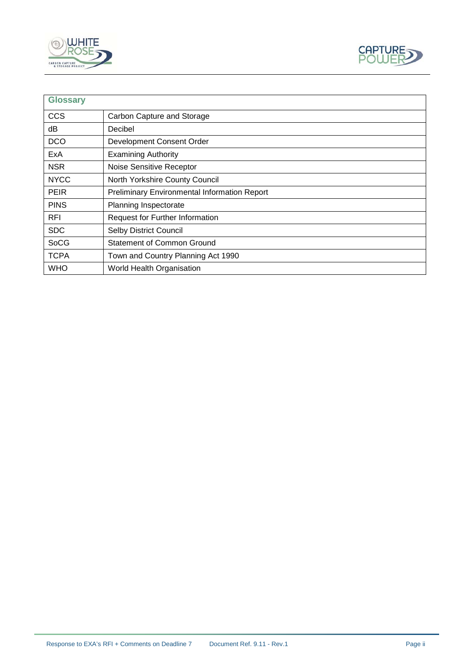



| <b>Glossary</b> |                                                     |
|-----------------|-----------------------------------------------------|
| <b>CCS</b>      | Carbon Capture and Storage                          |
| dВ              | Decibel                                             |
| <b>DCO</b>      | Development Consent Order                           |
| ExA             | <b>Examining Authority</b>                          |
| <b>NSR</b>      | Noise Sensitive Receptor                            |
| <b>NYCC</b>     | North Yorkshire County Council                      |
| <b>PEIR</b>     | <b>Preliminary Environmental Information Report</b> |
| <b>PINS</b>     | Planning Inspectorate                               |
| <b>RFI</b>      | <b>Request for Further Information</b>              |
| <b>SDC</b>      | <b>Selby District Council</b>                       |
| SoCG            | Statement of Common Ground                          |
| <b>TCPA</b>     | Town and Country Planning Act 1990                  |
| <b>WHO</b>      | World Health Organisation                           |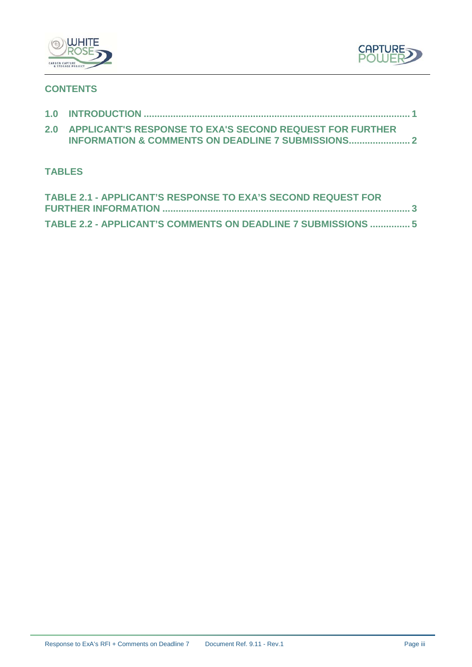



## **CONTENTS**

| 2.0 APPLICANT'S RESPONSE TO EXA'S SECOND REQUEST FOR FURTHER |
|--------------------------------------------------------------|
|                                                              |

## **TABLES**

| TABLE 2.1 - APPLICANT'S RESPONSE TO EXA'S SECOND REQUEST FOR  |  |
|---------------------------------------------------------------|--|
|                                                               |  |
| TABLE 2.2 - APPLICANT'S COMMENTS ON DEADLINE 7 SUBMISSIONS  5 |  |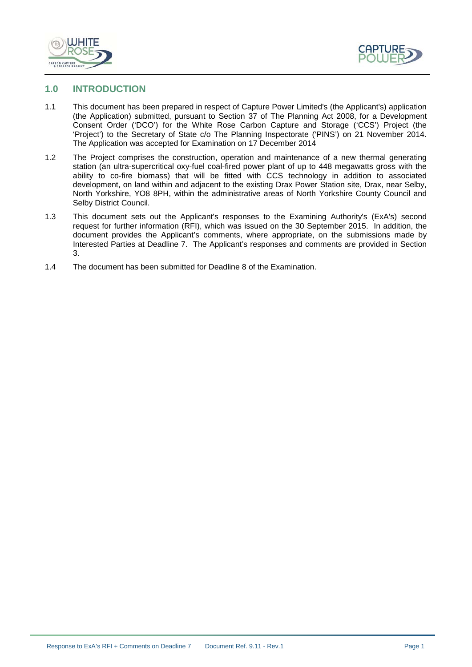



#### <span id="page-4-0"></span>**1.0 INTRODUCTION**

- 1.1 This document has been prepared in respect of Capture Power Limited's (the Applicant's) application (the Application) submitted, pursuant to Section 37 of The Planning Act 2008, for a Development Consent Order ('DCO') for the White Rose Carbon Capture and Storage ('CCS') Project (the 'Project') to the Secretary of State c/o The Planning Inspectorate ('PINS') on 21 November 2014. The Application was accepted for Examination on 17 December 2014
- 1.2 The Project comprises the construction, operation and maintenance of a new thermal generating station (an ultra-supercritical oxy-fuel coal-fired power plant of up to 448 megawatts gross with the ability to co-fire biomass) that will be fitted with CCS technology in addition to associated development, on land within and adjacent to the existing Drax Power Station site, Drax, near Selby, North Yorkshire, YO8 8PH, within the administrative areas of North Yorkshire County Council and Selby District Council.
- 1.3 This document sets out the Applicant's responses to the Examining Authority's (ExA's) second request for further information (RFI), which was issued on the 30 September 2015. In addition, the document provides the Applicant's comments, where appropriate, on the submissions made by Interested Parties at Deadline 7. The Applicant's responses and comments are provided in Section 3.
- 1.4 The document has been submitted for Deadline 8 of the Examination.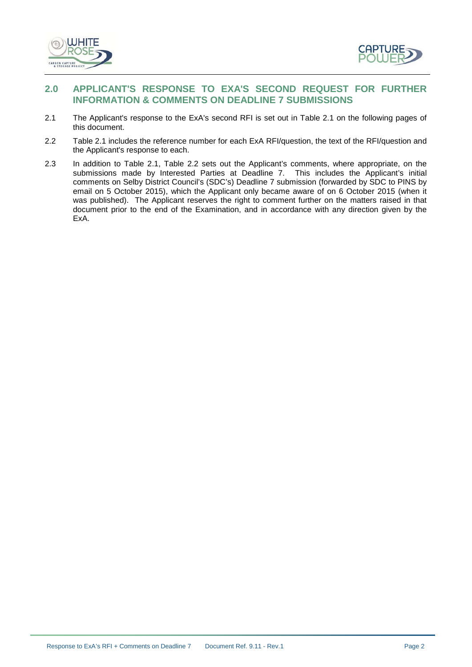



### <span id="page-5-0"></span>**2.0 APPLICANT'S RESPONSE TO EXA'S SECOND REQUEST FOR FURTHER INFORMATION & COMMENTS ON DEADLINE 7 SUBMISSIONS**

- 2.1 The Applicant's response to the ExA's second RFI is set out in Table 2.1 on the following pages of this document.
- 2.2 Table 2.1 includes the reference number for each ExA RFI/question, the text of the RFI/question and the Applicant's response to each.
- 2.3 In addition to Table 2.1, Table 2.2 sets out the Applicant's comments, where appropriate, on the submissions made by Interested Parties at Deadline 7. This includes the Applicant's initial comments on Selby District Council's (SDC's) Deadline 7 submission (forwarded by SDC to PINS by email on 5 October 2015), which the Applicant only became aware of on 6 October 2015 (when it was published). The Applicant reserves the right to comment further on the matters raised in that document prior to the end of the Examination, and in accordance with any direction given by the ExA.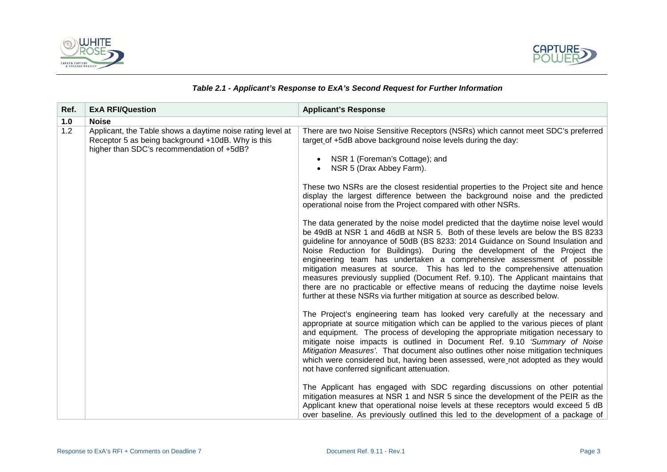



#### *Table 2.1 - Applicant's Response to ExA's Second Request for Further Information*

<span id="page-6-0"></span>

| Ref. | <b>ExA RFI/Question</b>                                                                                                                                      | <b>Applicant's Response</b>                                                                                                                                                                                                                                                                                                                                                                                                                                                                                                                                                                                                                                                                                                                         |
|------|--------------------------------------------------------------------------------------------------------------------------------------------------------------|-----------------------------------------------------------------------------------------------------------------------------------------------------------------------------------------------------------------------------------------------------------------------------------------------------------------------------------------------------------------------------------------------------------------------------------------------------------------------------------------------------------------------------------------------------------------------------------------------------------------------------------------------------------------------------------------------------------------------------------------------------|
| 1.0  | <b>Noise</b>                                                                                                                                                 |                                                                                                                                                                                                                                                                                                                                                                                                                                                                                                                                                                                                                                                                                                                                                     |
| 1.2  | Applicant, the Table shows a daytime noise rating level at<br>Receptor 5 as being background +10dB. Why is this<br>higher than SDC's recommendation of +5dB? | There are two Noise Sensitive Receptors (NSRs) which cannot meet SDC's preferred<br>target of +5dB above background noise levels during the day:<br>NSR 1 (Foreman's Cottage); and<br>$\bullet$<br>NSR 5 (Drax Abbey Farm).                                                                                                                                                                                                                                                                                                                                                                                                                                                                                                                         |
|      |                                                                                                                                                              | These two NSRs are the closest residential properties to the Project site and hence<br>display the largest difference between the background noise and the predicted<br>operational noise from the Project compared with other NSRs.                                                                                                                                                                                                                                                                                                                                                                                                                                                                                                                |
|      |                                                                                                                                                              | The data generated by the noise model predicted that the daytime noise level would<br>be 49dB at NSR 1 and 46dB at NSR 5. Both of these levels are below the BS 8233<br>guideline for annoyance of 50dB (BS 8233: 2014 Guidance on Sound Insulation and<br>Noise Reduction for Buildings). During the development of the Project the<br>engineering team has undertaken a comprehensive assessment of possible<br>mitigation measures at source. This has led to the comprehensive attenuation<br>measures previously supplied (Document Ref. 9.10). The Applicant maintains that<br>there are no practicable or effective means of reducing the daytime noise levels<br>further at these NSRs via further mitigation at source as described below. |
|      |                                                                                                                                                              | The Project's engineering team has looked very carefully at the necessary and<br>appropriate at source mitigation which can be applied to the various pieces of plant<br>and equipment. The process of developing the appropriate mitigation necessary to<br>mitigate noise impacts is outlined in Document Ref. 9.10 'Summary of Noise<br>Mitigation Measures'. That document also outlines other noise mitigation techniques<br>which were considered but, having been assessed, were_not adopted as they would<br>not have conferred significant attenuation.                                                                                                                                                                                    |
|      |                                                                                                                                                              | The Applicant has engaged with SDC regarding discussions on other potential<br>mitigation measures at NSR 1 and NSR 5 since the development of the PEIR as the<br>Applicant knew that operational noise levels at these receptors would exceed 5 dB<br>over baseline. As previously outlined this led to the development of a package of                                                                                                                                                                                                                                                                                                                                                                                                            |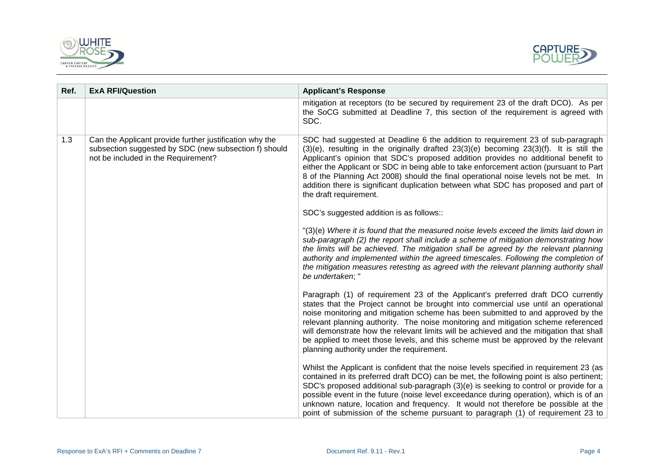



| Ref. | <b>ExA RFI/Question</b>                                                                                                                                 | <b>Applicant's Response</b>                                                                                                                                                                                                                                                                                                                                                                                                                                                                                                                                                   |
|------|---------------------------------------------------------------------------------------------------------------------------------------------------------|-------------------------------------------------------------------------------------------------------------------------------------------------------------------------------------------------------------------------------------------------------------------------------------------------------------------------------------------------------------------------------------------------------------------------------------------------------------------------------------------------------------------------------------------------------------------------------|
|      |                                                                                                                                                         | mitigation at receptors (to be secured by requirement 23 of the draft DCO). As per<br>the SoCG submitted at Deadline 7, this section of the requirement is agreed with<br>SDC.                                                                                                                                                                                                                                                                                                                                                                                                |
| 1.3  | Can the Applicant provide further justification why the<br>subsection suggested by SDC (new subsection f) should<br>not be included in the Requirement? | SDC had suggested at Deadline 6 the addition to requirement 23 of sub-paragraph<br>(3)(e), resulting in the originally drafted 23(3)(e) becoming 23(3)(f). It is still the<br>Applicant's opinion that SDC's proposed addition provides no additional benefit to<br>either the Applicant or SDC in being able to take enforcement action (pursuant to Part<br>8 of the Planning Act 2008) should the final operational noise levels not be met. In<br>addition there is significant duplication between what SDC has proposed and part of<br>the draft requirement.           |
|      |                                                                                                                                                         | SDC's suggested addition is as follows::                                                                                                                                                                                                                                                                                                                                                                                                                                                                                                                                      |
|      |                                                                                                                                                         | "(3)(e) Where it is found that the measured noise levels exceed the limits laid down in<br>sub-paragraph (2) the report shall include a scheme of mitigation demonstrating how<br>the limits will be achieved. The mitigation shall be agreed by the relevant planning<br>authority and implemented within the agreed timescales. Following the completion of<br>the mitigation measures retesting as agreed with the relevant planning authority shall<br>be undertaken; "                                                                                                   |
|      |                                                                                                                                                         | Paragraph (1) of requirement 23 of the Applicant's preferred draft DCO currently<br>states that the Project cannot be brought into commercial use until an operational<br>noise monitoring and mitigation scheme has been submitted to and approved by the<br>relevant planning authority. The noise monitoring and mitigation scheme referenced<br>will demonstrate how the relevant limits will be achieved and the mitigation that shall<br>be applied to meet those levels, and this scheme must be approved by the relevant<br>planning authority under the requirement. |
|      |                                                                                                                                                         | Whilst the Applicant is confident that the noise levels specified in requirement 23 (as<br>contained in its preferred draft DCO) can be met, the following point is also pertinent;<br>SDC's proposed additional sub-paragraph (3)(e) is seeking to control or provide for a<br>possible event in the future (noise level exceedance during operation), which is of an<br>unknown nature, location and frequency. It would not therefore be possible at the<br>point of submission of the scheme pursuant to paragraph (1) of requirement 23 to                               |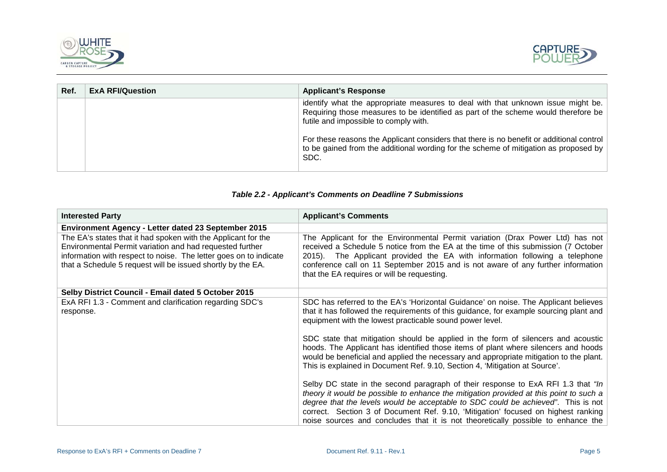



| Ref. | <b>ExA RFI/Question</b> | <b>Applicant's Response</b>                                                                                                                                                                                     |
|------|-------------------------|-----------------------------------------------------------------------------------------------------------------------------------------------------------------------------------------------------------------|
|      |                         | identify what the appropriate measures to deal with that unknown issue might be.<br>Requiring those measures to be identified as part of the scheme would therefore be<br>futile and impossible to comply with. |
|      |                         | For these reasons the Applicant considers that there is no benefit or additional control<br>to be gained from the additional wording for the scheme of mitigation as proposed by<br>SDC.                        |

### *Table 2.2 - Applicant's Comments on Deadline 7 Submissions*

<span id="page-8-0"></span>

| <b>Interested Party</b>                                                                                                                                                                                                                                       | <b>Applicant's Comments</b>                                                                                                                                                                                                                                                                                                                                                                                                                                                                                                                                                                   |
|---------------------------------------------------------------------------------------------------------------------------------------------------------------------------------------------------------------------------------------------------------------|-----------------------------------------------------------------------------------------------------------------------------------------------------------------------------------------------------------------------------------------------------------------------------------------------------------------------------------------------------------------------------------------------------------------------------------------------------------------------------------------------------------------------------------------------------------------------------------------------|
| <b>Environment Agency - Letter dated 23 September 2015</b>                                                                                                                                                                                                    |                                                                                                                                                                                                                                                                                                                                                                                                                                                                                                                                                                                               |
| The EA's states that it had spoken with the Applicant for the<br>Environmental Permit variation and had requested further<br>information with respect to noise. The letter goes on to indicate<br>that a Schedule 5 request will be issued shortly by the EA. | The Applicant for the Environmental Permit variation (Drax Power Ltd) has not<br>received a Schedule 5 notice from the EA at the time of this submission (7 October<br>2015). The Applicant provided the EA with information following a telephone<br>conference call on 11 September 2015 and is not aware of any further information<br>that the EA requires or will be requesting.                                                                                                                                                                                                         |
| Selby District Council - Email dated 5 October 2015                                                                                                                                                                                                           |                                                                                                                                                                                                                                                                                                                                                                                                                                                                                                                                                                                               |
| ExA RFI 1.3 - Comment and clarification regarding SDC's<br>response.                                                                                                                                                                                          | SDC has referred to the EA's 'Horizontal Guidance' on noise. The Applicant believes<br>that it has followed the requirements of this guidance, for example sourcing plant and<br>equipment with the lowest practicable sound power level.<br>SDC state that mitigation should be applied in the form of silencers and acoustic<br>hoods. The Applicant has identified those items of plant where silencers and hoods<br>would be beneficial and applied the necessary and appropriate mitigation to the plant.<br>This is explained in Document Ref. 9.10, Section 4, 'Mitigation at Source'. |
|                                                                                                                                                                                                                                                               | Selby DC state in the second paragraph of their response to ExA RFI 1.3 that "In<br>theory it would be possible to enhance the mitigation provided at this point to such a<br>degree that the levels would be acceptable to SDC could be achieved". This is not<br>correct. Section 3 of Document Ref. 9.10, 'Mitigation' focused on highest ranking<br>noise sources and concludes that it is not theoretically possible to enhance the                                                                                                                                                      |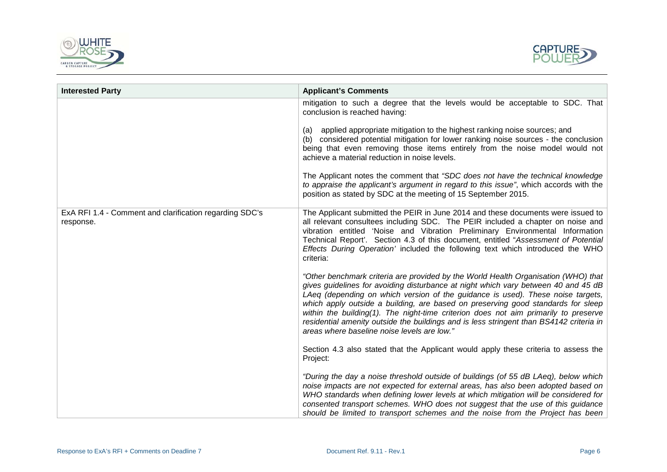



| <b>Interested Party</b>                                              | <b>Applicant's Comments</b>                                                                                                                                                                                                                                                                                                                                                                                                                                                                                                                                                                                                                                                |
|----------------------------------------------------------------------|----------------------------------------------------------------------------------------------------------------------------------------------------------------------------------------------------------------------------------------------------------------------------------------------------------------------------------------------------------------------------------------------------------------------------------------------------------------------------------------------------------------------------------------------------------------------------------------------------------------------------------------------------------------------------|
|                                                                      | mitigation to such a degree that the levels would be acceptable to SDC. That<br>conclusion is reached having:<br>applied appropriate mitigation to the highest ranking noise sources; and<br>(a)<br>considered potential mitigation for lower ranking noise sources - the conclusion<br>(b)<br>being that even removing those items entirely from the noise model would not<br>achieve a material reduction in noise levels.<br>The Applicant notes the comment that "SDC does not have the technical knowledge<br>to appraise the applicant's argument in regard to this issue", which accords with the<br>position as stated by SDC at the meeting of 15 September 2015. |
| ExA RFI 1.4 - Comment and clarification regarding SDC's<br>response. | The Applicant submitted the PEIR in June 2014 and these documents were issued to<br>all relevant consultees including SDC. The PEIR included a chapter on noise and<br>vibration entitled 'Noise and Vibration Preliminary Environmental Information<br>Technical Report'. Section 4.3 of this document, entitled "Assessment of Potential<br>Effects During Operation' included the following text which introduced the WHO<br>criteria:<br>"Other benchmark criteria are provided by the World Health Organisation (WHO) that                                                                                                                                            |
|                                                                      | gives guidelines for avoiding disturbance at night which vary between 40 and 45 dB<br>LAeg (depending on which version of the guidance is used). These noise targets,<br>which apply outside a building, are based on preserving good standards for sleep<br>within the building(1). The night-time criterion does not aim primarily to preserve<br>residential amenity outside the buildings and is less stringent than BS4142 criteria in<br>areas where baseline noise levels are low."                                                                                                                                                                                 |
|                                                                      | Section 4.3 also stated that the Applicant would apply these criteria to assess the<br>Project:                                                                                                                                                                                                                                                                                                                                                                                                                                                                                                                                                                            |
|                                                                      | "During the day a noise threshold outside of buildings (of 55 dB LAeq), below which<br>noise impacts are not expected for external areas, has also been adopted based on<br>WHO standards when defining lower levels at which mitigation will be considered for<br>consented transport schemes. WHO does not suggest that the use of this guidance<br>should be limited to transport schemes and the noise from the Project has been                                                                                                                                                                                                                                       |